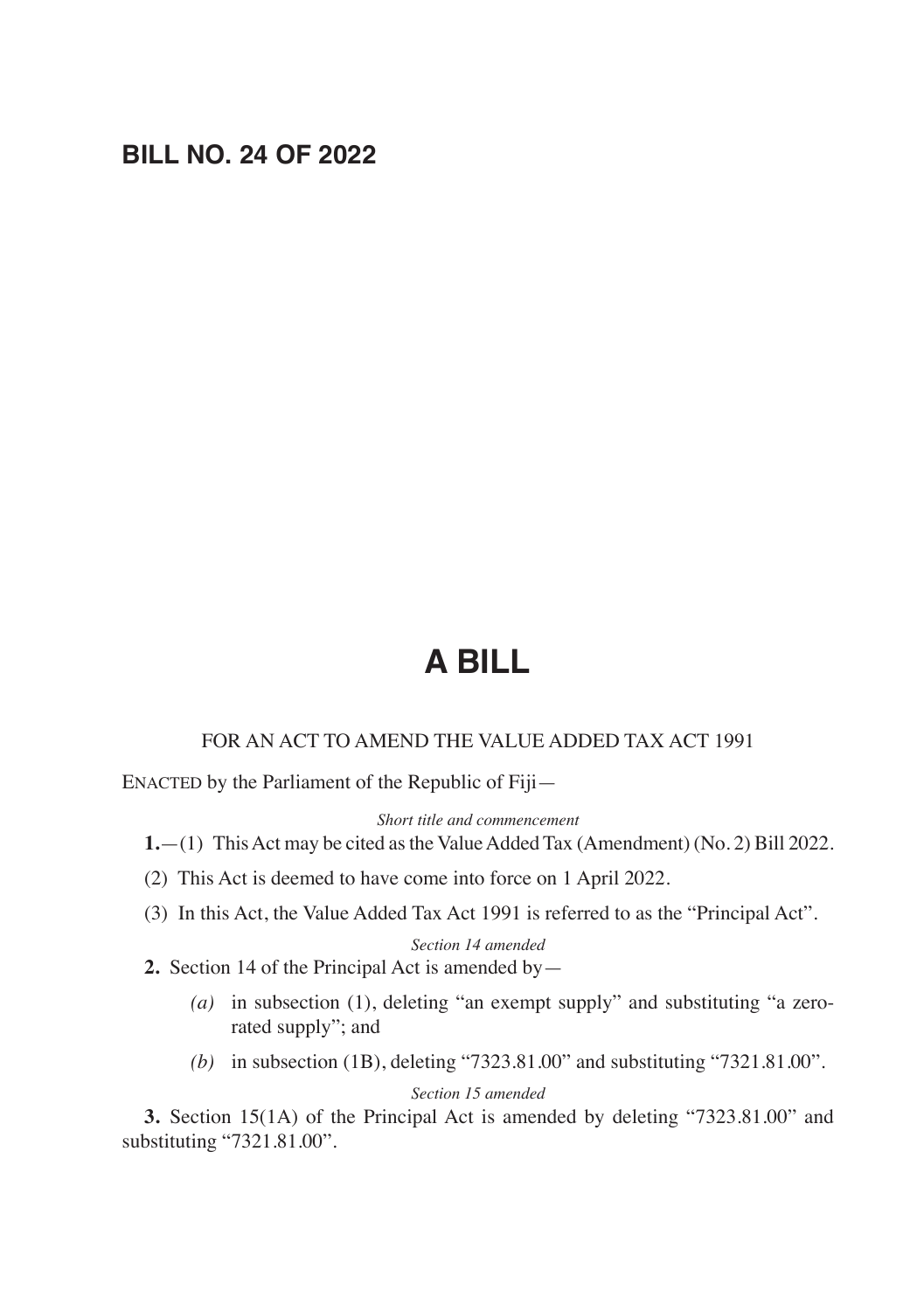# **BILL NO. 24 OF 2022**

# **A BILL**

#### FOR AN ACT TO AMEND THE VALUE ADDED TAX ACT 1991

ENACTED by the Parliament of the Republic of Fiji—

*Short title and commencement*

**1.**—(1) This Act may be cited as the Value Added Tax (Amendment) (No. 2) Bill 2022.

- (2) This Act is deemed to have come into force on 1 April 2022.
- (3) In this Act, the Value Added Tax Act 1991 is referred to as the "Principal Act".

#### *Section 14 amended*

- **2.** Section 14 of the Principal Act is amended by—
	- *(a)* in subsection (1), deleting "an exempt supply" and substituting "a zerorated supply"; and
	- *(b)* in subsection (1B), deleting "7323.81.00" and substituting "7321.81.00".

*Section 15 amended*

**3.** Section 15(1A) of the Principal Act is amended by deleting "7323.81.00" and substituting "7321.81.00".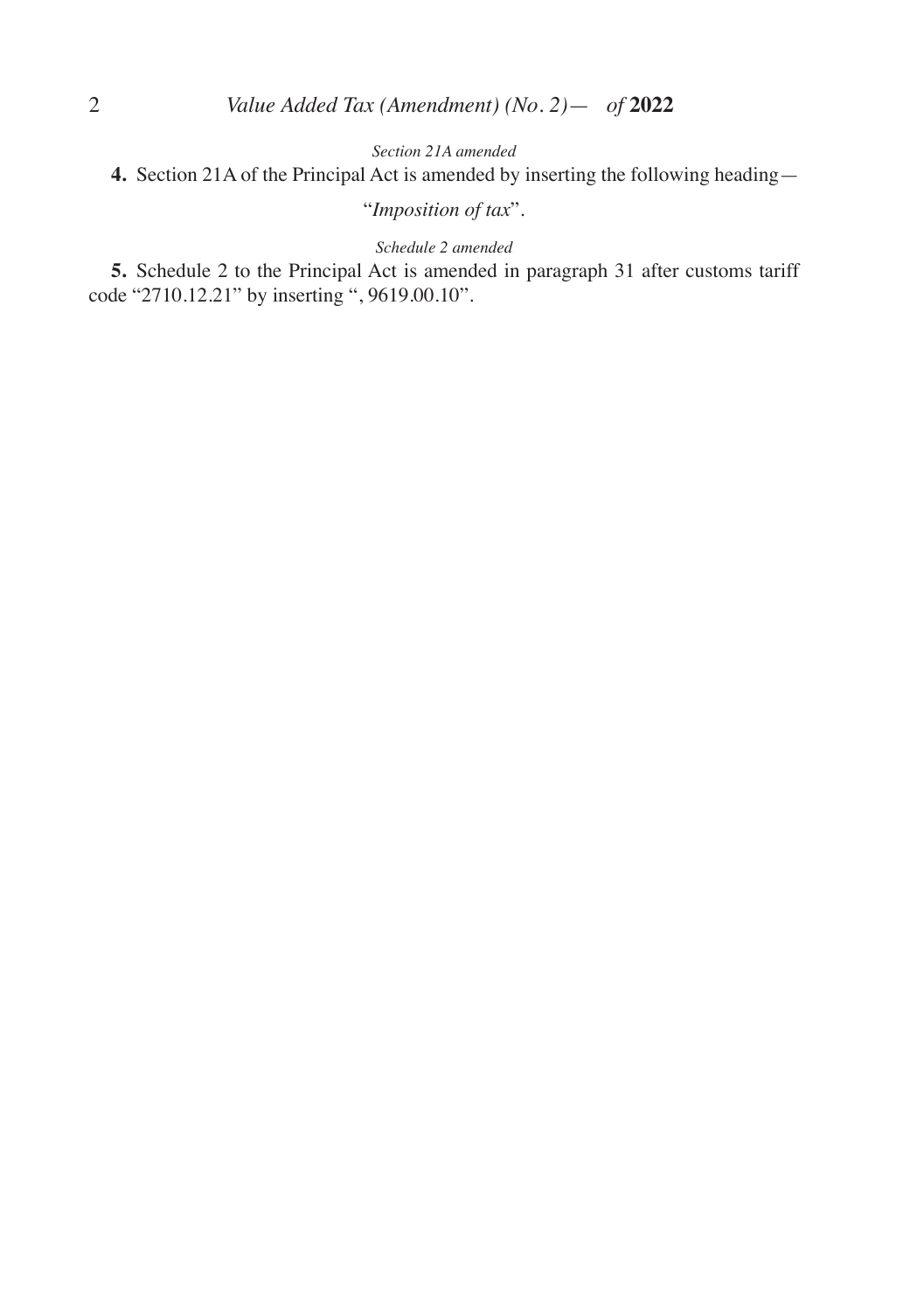*Section 21A amended*

**4.** Section 21A of the Principal Act is amended by inserting the following heading—

## "*Imposition of tax*".

#### *Schedule 2 amended*

**5.** Schedule 2 to the Principal Act is amended in paragraph 31 after customs tariff code "2710.12.21" by inserting ", 9619.00.10".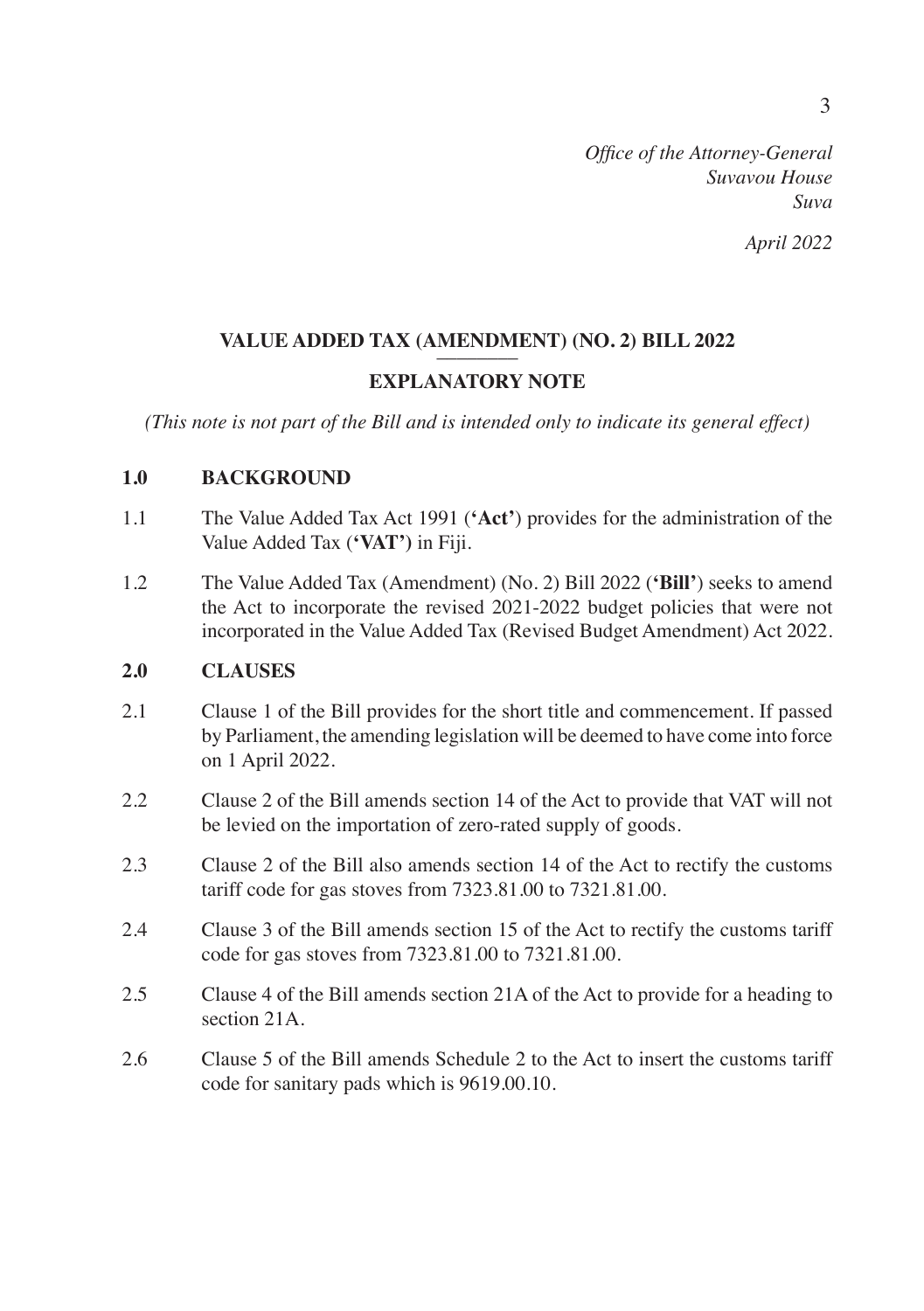#### *April 2022*

# VALUE ADDED TAX (AMENDMENT) (NO. 2) BILL 2022

### **EXPLANATORY NOTE**

*(This note is not part of the Bill and is intended only to indicate its general effect)*

#### **1.0 BACKGROUND**

- 1.1 The Value Added Tax Act 1991 (**'Act'**) provides for the administration of the Value Added Tax (**'VAT')** in Fiji.
- 1.2 The Value Added Tax (Amendment) (No. 2) Bill 2022 (**'Bill'**) seeks to amend the Act to incorporate the revised 2021-2022 budget policies that were not incorporated in the Value Added Tax (Revised Budget Amendment) Act 2022.

#### **2.0 CLAUSES**

- 2.1 Clause 1 of the Bill provides for the short title and commencement. If passed by Parliament, the amending legislation will be deemed to have come into force on 1 April 2022.
- 2.2 Clause 2 of the Bill amends section 14 of the Act to provide that VAT will not be levied on the importation of zero-rated supply of goods.
- 2.3 Clause 2 of the Bill also amends section 14 of the Act to rectify the customs tariff code for gas stoves from 7323.81.00 to 7321.81.00.
- 2.4 Clause 3 of the Bill amends section 15 of the Act to rectify the customs tariff code for gas stoves from 7323.81.00 to 7321.81.00.
- 2.5 Clause 4 of the Bill amends section 21A of the Act to provide for a heading to section 21A.
- 2.6 Clause 5 of the Bill amends Schedule 2 to the Act to insert the customs tariff code for sanitary pads which is 9619.00.10.